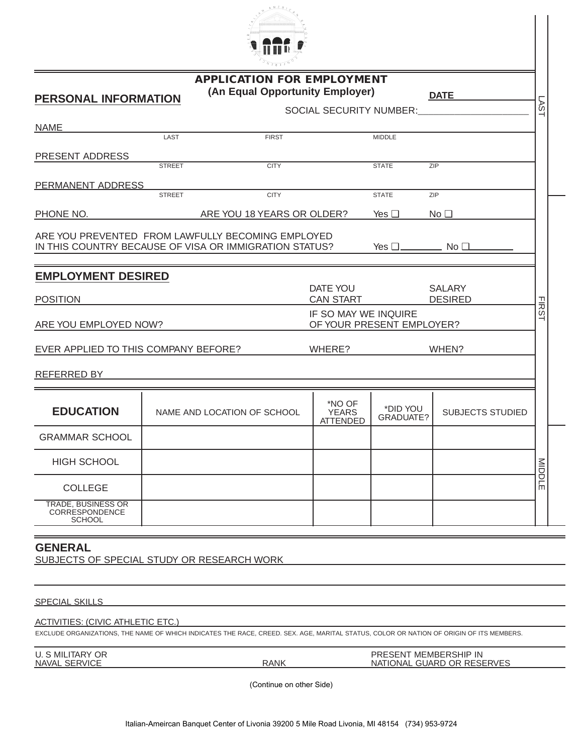

|                     | <b>APPLICATION FOR EMPLOYMENT</b> |             |
|---------------------|-----------------------------------|-------------|
| BOALLAL INFORMATION | (An Equal Opportunity Employer)   | <b>DATF</b> |

| PERSONAL INFORMATION                                         |                             |                            |                                           |                            | ∟רש                                             |               |
|--------------------------------------------------------------|-----------------------------|----------------------------|-------------------------------------------|----------------------------|-------------------------------------------------|---------------|
|                                                              |                             |                            |                                           |                            | SOCIAL SECURITY NUMBER: SOCIAL SECURITY NUMBER: | LSYT          |
| <b>NAME</b>                                                  |                             |                            |                                           |                            |                                                 |               |
|                                                              | LAST                        | <b>FIRST</b>               |                                           | <b>MIDDLE</b>              |                                                 |               |
| PRESENT ADDRESS                                              |                             |                            |                                           |                            |                                                 |               |
|                                                              | <b>STREET</b>               | <b>CITY</b>                |                                           | <b>STATE</b>               | ZIP                                             |               |
| PERMANENT ADDRESS                                            |                             |                            |                                           |                            |                                                 |               |
|                                                              | <b>STREET</b>               | <b>CITY</b>                |                                           | <b>STATE</b>               | ZIP                                             |               |
| PHONE NO.                                                    |                             | ARE YOU 18 YEARS OR OLDER? |                                           | Yes $\square$              | No <sub>1</sub>                                 |               |
| ARE YOU PREVENTED FROM LAWFULLY BECOMING EMPLOYED            |                             |                            |                                           |                            |                                                 |               |
| IN THIS COUNTRY BECAUSE OF VISA OR IMMIGRATION STATUS?       |                             |                            |                                           | Yes $\square$ No $\square$ |                                                 |               |
|                                                              |                             |                            |                                           |                            |                                                 |               |
| <b>EMPLOYMENT DESIRED</b>                                    |                             |                            |                                           |                            |                                                 |               |
|                                                              |                             |                            | DATE YOU                                  |                            | <b>SALARY</b>                                   |               |
| <b>POSITION</b>                                              |                             |                            | <b>CAN START</b>                          |                            | <b>DESIRED</b>                                  | <b>FIRST</b>  |
|                                                              |                             |                            | IF SO MAY WE INQUIRE                      | OF YOUR PRESENT EMPLOYER?  |                                                 |               |
| ARE YOU EMPLOYED NOW?                                        |                             |                            |                                           |                            |                                                 |               |
| EVER APPLIED TO THIS COMPANY BEFORE?                         |                             |                            | WHERE?                                    | WHEN?                      |                                                 |               |
|                                                              |                             |                            |                                           |                            |                                                 |               |
| REFERRED BY                                                  |                             |                            |                                           |                            |                                                 |               |
|                                                              |                             |                            |                                           |                            |                                                 |               |
| <b>EDUCATION</b>                                             | NAME AND LOCATION OF SCHOOL |                            | *NO OF<br><b>YEARS</b><br><b>ATTENDED</b> | *DID YOU<br>GRADUATE?      | <b>SUBJECTS STUDIED</b>                         |               |
| <b>GRAMMAR SCHOOL</b>                                        |                             |                            |                                           |                            |                                                 |               |
| <b>HIGH SCHOOL</b>                                           |                             |                            |                                           |                            |                                                 | <b>MIDDLE</b> |
| <b>COLLEGE</b>                                               |                             |                            |                                           |                            |                                                 |               |
| <b>TRADE, BUSINESS OR</b><br>CORRESPONDENCE<br><b>SCHOOL</b> |                             |                            |                                           |                            |                                                 |               |
|                                                              |                             |                            |                                           |                            |                                                 |               |

## **GENERAL**

SUBJECTS OF SPECIAL STUDY OR RESEARCH WORK

## SPECIAL SKILLS

## ACTIVITIES: (CIVIC ATHLETIC ETC.)

EXCLUDE ORGANIZATIONS, THE NAME OF WHICH INDICATES THE RACE, CREED. SEX. AGE, MARITAL STATUS, COLOR OR NATION OF ORIGIN OF ITS MEMBERS.

| U. S MILITARY OR     |
|----------------------|
| <b>NAVAL SERVICE</b> |

PRESENT MEMBERSHIP IN<br>
NATIONAL GUARD OR RESE NATIONAL GUARD OR RESERVES

(Continue on other Side)